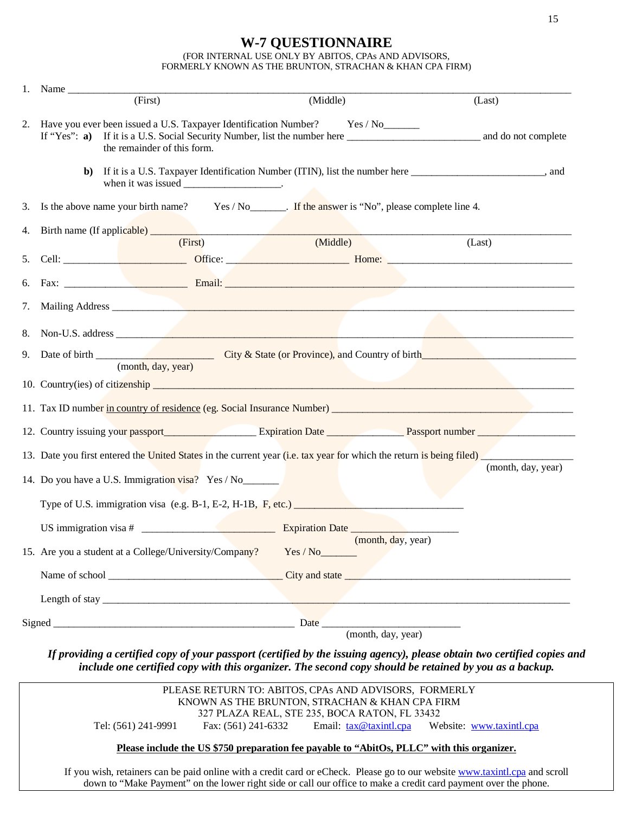## **W-7 QUESTIONNAIRE**

(FOR INTERNAL USE ONLY BY ABITOS, CPAs AND ADVISORS, FORMERLY KNOWN AS THE BRUNTON, STRACHAN & KHAN CPA FIRM)

|    | (First)                                                                                                                                                                   | (Middle)                       | (Last) |  |  |
|----|---------------------------------------------------------------------------------------------------------------------------------------------------------------------------|--------------------------------|--------|--|--|
| 2. | Have you ever been issued a U.S. Taxpayer Identification Number? Yes / No<br>the remainder of this form.                                                                  |                                |        |  |  |
|    | If it is a U.S. Taxpayer Identification Number (ITIN), list the number here ________________________, and<br>$\mathbf{b}$<br>when it was issued ________________________. |                                |        |  |  |
| 3. | Is the above name your birth name? Yes / No _______. If the answer is "No", please complete line 4.                                                                       |                                |        |  |  |
| 4. |                                                                                                                                                                           |                                |        |  |  |
|    | (First)                                                                                                                                                                   | (Middle)                       | (Last) |  |  |
| 5. |                                                                                                                                                                           |                                |        |  |  |
| 6. |                                                                                                                                                                           |                                |        |  |  |
| 7. |                                                                                                                                                                           |                                |        |  |  |
| 8. |                                                                                                                                                                           |                                |        |  |  |
| 9. |                                                                                                                                                                           |                                |        |  |  |
|    | (month, day, year)                                                                                                                                                        |                                |        |  |  |
|    |                                                                                                                                                                           |                                |        |  |  |
|    |                                                                                                                                                                           |                                |        |  |  |
|    |                                                                                                                                                                           |                                |        |  |  |
|    | 13. Date you first entered the United States in the current year (i.e. tax year for which the return is being filed)                                                      |                                |        |  |  |
|    | (month, day, year)<br>14. Do you have a U.S. Immigration visa? Yes / No                                                                                                   |                                |        |  |  |
|    | Type of U.S. immigration visa (e.g. B-1, E-2, H-1B, F, etc.)                                                                                                              |                                |        |  |  |
|    |                                                                                                                                                                           |                                |        |  |  |
|    | 15. Are you a student at a College/University/Company?                                                                                                                    | (month, day, year)<br>Yes / No |        |  |  |
|    |                                                                                                                                                                           |                                |        |  |  |
|    |                                                                                                                                                                           |                                |        |  |  |
|    |                                                                                                                                                                           |                                |        |  |  |
|    |                                                                                                                                                                           | (month, day, year)             |        |  |  |

*If providing a certified copy of your passport (certified by the issuing agency), please obtain two certified copies and include one certified copy with this organizer. The second copy should be retained by you as a backup.*

|                                                                                                                             | PLEASE RETURN TO: ABITOS, CPAs AND ADVISORS, FORMERLY |  |  |  |
|-----------------------------------------------------------------------------------------------------------------------------|-------------------------------------------------------|--|--|--|
| KNOWN AS THE BRUNTON, STRACHAN & KHAN CPA FIRM<br>327 PLAZA REAL, STE 235, BOCA RATON, FL 33432                             |                                                       |  |  |  |
|                                                                                                                             |                                                       |  |  |  |
| Please include the US \$750 preparation fee payable to "AbitOs, PLLC" with this organizer.                                  |                                                       |  |  |  |
| If you wish, retainers can be paid online with a credit card or eCheck. Please go to our website www.taxintl.cpa and scroll |                                                       |  |  |  |
|                                                                                                                             |                                                       |  |  |  |